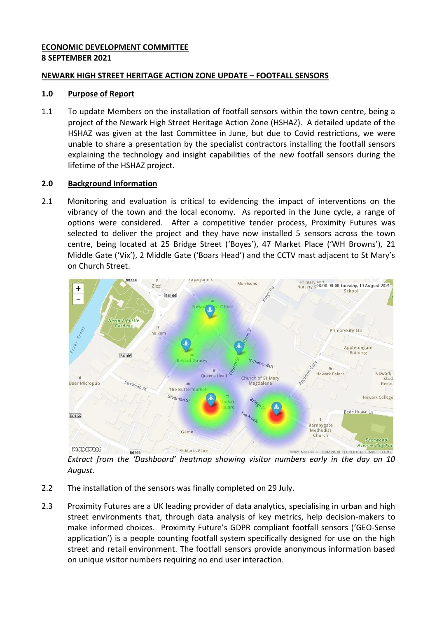# **ECONOMIC DEVELOPMENT COMMITTEE 8 SEPTEMBER 2021**

# **NEWARK HIGH STREET HERITAGE ACTION ZONE UPDATE – FOOTFALL SENSORS**

## **1.0 Purpose of Report**

1.1 To update Members on the installation of footfall sensors within the town centre, being a project of the Newark High Street Heritage Action Zone (HSHAZ). A detailed update of the HSHAZ was given at the last Committee in June, but due to Covid restrictions, we were unable to share a presentation by the specialist contractors installing the footfall sensors explaining the technology and insight capabilities of the new footfall sensors during the lifetime of the HSHAZ project.

## **2.0 Background Information**

2.1 Monitoring and evaluation is critical to evidencing the impact of interventions on the vibrancy of the town and the local economy. As reported in the June cycle, a range of options were considered. After a competitive tender process, Proximity Futures was selected to deliver the project and they have now installed 5 sensors across the town centre, being located at 25 Bridge Street ('Boyes'), 47 Market Place ('WH Browns'), 21 Middle Gate ('Vix'), 2 Middle Gate ('Boars Head') and the CCTV mast adjacent to St Mary's on Church Street.



*Extract from the 'Dashboard' heatmap showing visitor numbers early in the day on 10 August.* 

- 2.2 The installation of the sensors was finally completed on 29 July.
- 2.3 Proximity Futures are a UK leading provider of data analytics, specialising in urban and high street environments that, through data analysis of key metrics, help decision-makers to make informed choices. Proximity Future's GDPR compliant footfall sensors ('GEO-Sense application') is a people counting footfall system specifically designed for use on the high street and retail environment. The footfall sensors provide anonymous information based on unique visitor numbers requiring no end user interaction.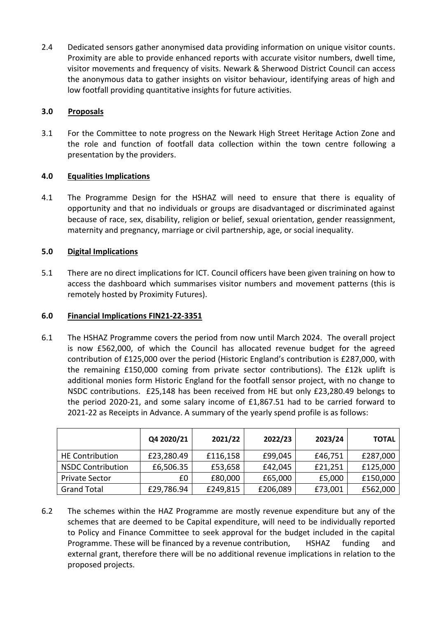2.4 Dedicated sensors gather anonymised data providing information on unique visitor counts. Proximity are able to provide enhanced reports with accurate visitor numbers, dwell time, visitor movements and frequency of visits. Newark & Sherwood District Council can access the anonymous data to gather insights on visitor behaviour, identifying areas of high and low footfall providing quantitative insights for future activities.

# **3.0 Proposals**

3.1 For the Committee to note progress on the Newark High Street Heritage Action Zone and the role and function of footfall data collection within the town centre following a presentation by the providers.

## **4.0 Equalities Implications**

4.1 The Programme Design for the HSHAZ will need to ensure that there is equality of opportunity and that no individuals or groups are disadvantaged or discriminated against because of race, sex, disability, religion or belief, sexual orientation, gender reassignment, maternity and pregnancy, marriage or civil partnership, age, or social inequality.

## **5.0 Digital Implications**

5.1 There are no direct implications for ICT. Council officers have been given training on how to access the dashboard which summarises visitor numbers and movement patterns (this is remotely hosted by Proximity Futures).

### **6.0 Financial Implications FIN21-22-3351**

6.1 The HSHAZ Programme covers the period from now until March 2024. The overall project is now £562,000, of which the Council has allocated revenue budget for the agreed contribution of £125,000 over the period (Historic England's contribution is £287,000, with the remaining £150,000 coming from private sector contributions). The £12k uplift is additional monies form Historic England for the footfall sensor project, with no change to NSDC contributions. £25,148 has been received from HE but only £23,280.49 belongs to the period 2020-21, and some salary income of £1,867.51 had to be carried forward to 2021-22 as Receipts in Advance. A summary of the yearly spend profile is as follows:

|                          | Q4 2020/21 | 2021/22  | 2022/23  | 2023/24 | <b>TOTAL</b> |
|--------------------------|------------|----------|----------|---------|--------------|
| <b>HE Contribution</b>   | £23,280.49 | £116,158 | £99,045  | £46,751 | £287,000     |
| <b>NSDC Contribution</b> | £6,506.35  | £53,658  | £42,045  | £21,251 | £125,000     |
| <b>Private Sector</b>    | £0         | £80,000  | £65,000  | £5,000  | £150,000     |
| <b>Grand Total</b>       | £29,786.94 | £249,815 | £206,089 | £73,001 | £562,000     |

6.2 The schemes within the HAZ Programme are mostly revenue expenditure but any of the schemes that are deemed to be Capital expenditure, will need to be individually reported to Policy and Finance Committee to seek approval for the budget included in the capital Programme. These will be financed by a revenue contribution, HSHAZ funding and external grant, therefore there will be no additional revenue implications in relation to the proposed projects.